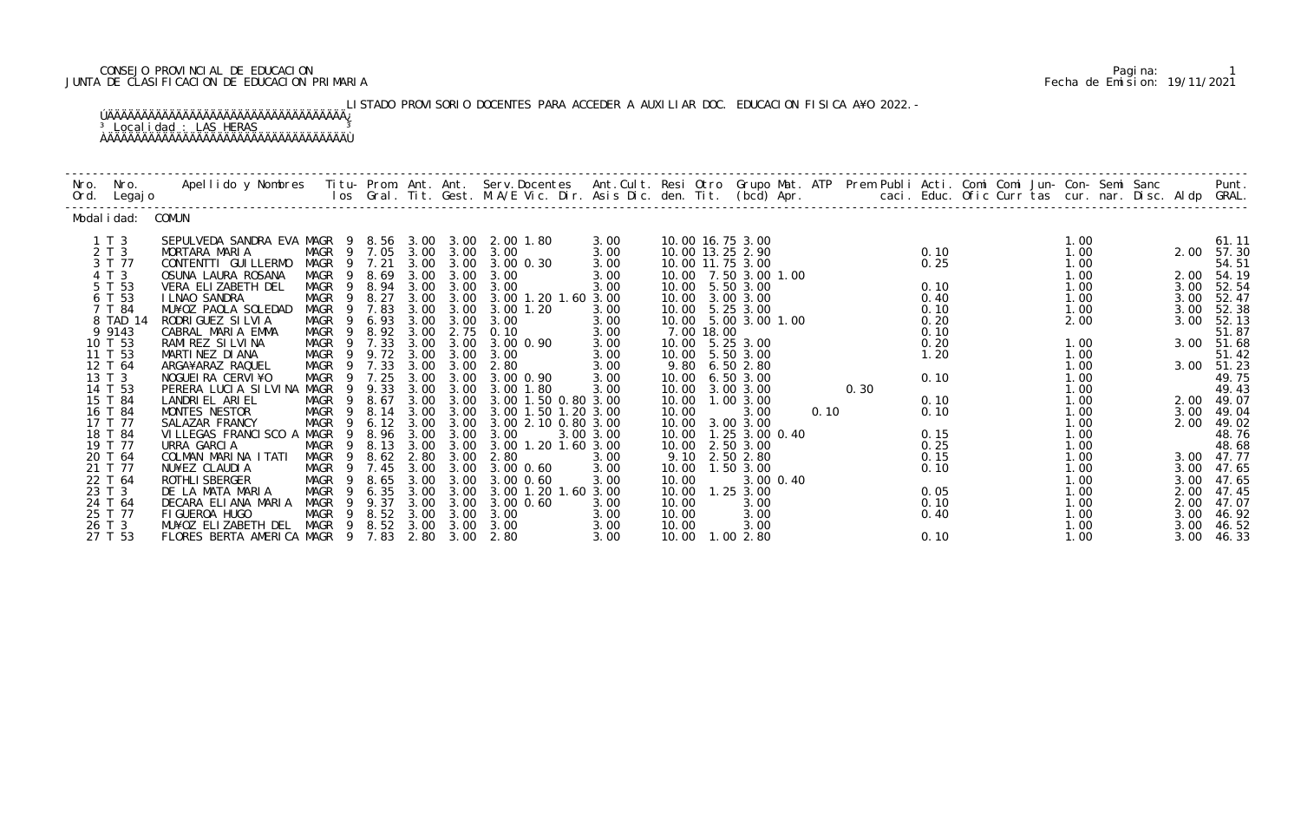## CONSEJO PROVINCIAL DE EDUCACION Pagina: 1 JUNTA DE CLASIFICACION DE EDUCACION PRIMARIA Fecha de Emision: 19/11/2021

LISTADO PROVISORIO DOCENTES PARA ACCEDER A AUXILIAR DOC. EDUCACION FISICA A¥O 2022.-

| Nro. Nro.<br>Ord. Legajo | Apellido y Nombres - Titu- Prom. Ant. Ant. Serv.Docentes - Ant.Cult. Resi Otro Grupo Mat. ATP - Prem Publi Acti. Comi Comi Jun- Con- Semi Sanc - - - Punt.<br>Ios Gral. Tit. Gest. M.A/E Vic. Dir. Asis Dic. den. Tit. (bcd) Apr. |                                                 |        |      |                |                                            |              |       |            |                         |      |              |  |      |      |                |
|--------------------------|-----------------------------------------------------------------------------------------------------------------------------------------------------------------------------------------------------------------------------------|-------------------------------------------------|--------|------|----------------|--------------------------------------------|--------------|-------|------------|-------------------------|------|--------------|--|------|------|----------------|
| Modal i dad: COMUN       |                                                                                                                                                                                                                                   |                                                 |        |      |                |                                            |              |       |            |                         |      |              |  |      |      |                |
| $1 \tImes 3$             | SEPULVEDA SANDRA EVA MAGR 9 8.56 3.00 3.00 2.00 1.80                                                                                                                                                                              |                                                 |        |      |                |                                            | 3.00         |       |            | 10.00 16.75 3.00        |      |              |  | 1.00 |      | 61.11          |
| 2 T 3                    | MORTARA MARIA                                                                                                                                                                                                                     | MAGR 9 7.05 3.00 3.00 3.00                      |        |      |                |                                            | 3.00         |       |            | 10.00 13.25 2.90        |      | 0.10         |  | 1.00 |      | 2.00 57.30     |
| 3 T 77                   | CONTENTTI GUI LLERMO                                                                                                                                                                                                              |                                                 |        |      |                | MAGR 9 7.21 3.00 3.00 3.00 0.30            | 3.00         |       |            | 10.00 11.75 3.00        |      | 0.25         |  | 1.00 |      | 54.51          |
| 4 T 3                    | OSUNA LAURA ROSANA                                                                                                                                                                                                                | MAGR 9                                          | 8.69   |      | 3.00 3.00      | 3.00                                       | 3.00         |       |            | 10.00 7.50 3.00 1.00    |      |              |  | 1.00 |      | 2.00 54.19     |
| 5 T 53                   | VERA ELIZABETH DEL                                                                                                                                                                                                                | MAGR 9 8.94 3.00 3.00                           |        |      |                | 3.00                                       | 3.00         |       |            | 10.00 5.50 3.00         |      | 0.10         |  | 1.00 |      | 3.00 52.54     |
| 6 T 53                   | I LNAO SANDRA                                                                                                                                                                                                                     | MAGR 9 8.27                                     |        |      |                | 3.00 3.00 3.00 1.20 1.60 3.00              |              |       |            | 10.00 3.00 3.00         |      | 0.40         |  | 1.00 | 3.00 | 52.47          |
| 7 T 84                   | MU¥OZ PAOLA SOLEDAD                                                                                                                                                                                                               | MAGR                                            | 9 7.83 |      | 3.00 3.00      | 3.00 1.20                                  | 3.00         |       |            | 10.00 5.25 3.00         |      | 0.10         |  | 1.00 | 3.00 | 52.38          |
| 8 TAD 14<br>9 9 1 4 3    | RODRI GUEZ SI LVI A<br>CABRAL MARIA EMMA                                                                                                                                                                                          | MAGR <sub>9</sub><br>MAGR 9 8.92 3.00 2.75 0.10 | 6.93   |      | 3.00 3.00      | 3.00                                       | 3.00<br>3.00 |       | 7.00 18.00 | 10.00 5.00 3.00 1.00    |      | 0.20<br>0.10 |  | 2.00 | 3.00 | 52.13<br>51.87 |
| 10 T 53                  | RAMI REZ SI LVI NA                                                                                                                                                                                                                | MAGR 9 7.33                                     |        |      |                | 3.00 3.00 3.00 0.90                        | 3.00         |       |            | 10.00 5.25 3.00         |      | 0.20         |  | 1.00 |      | 3.00 51.68     |
| 11 T 53                  | MARTINEZ DI ANA                                                                                                                                                                                                                   | MAGR 9                                          |        |      | 9.72 3.00 3.00 | 3.00                                       | 3.00         |       |            | 10.00 5.50 3.00         |      | 1.20         |  | 1.00 |      | 51.42          |
| 12 T 64                  | ARGA¥ARAZ RAQUEL                                                                                                                                                                                                                  | MAGR 9 7.33                                     |        |      |                | 3.00 3.00 2.80                             | 3.00         |       |            | 9.80 6.50 2.80          |      |              |  | 1.00 |      | 3.00 51.23     |
| 13 T 3                   | NOGUEI RA CERVI ¥O                                                                                                                                                                                                                | MAGR 9 7.25                                     |        |      |                | 3.00 3.00 3.00 0.90                        | 3.00         |       |            | 10.00 6.50 3.00         |      | 0.10         |  | 1.00 |      | 49.75          |
| 14 T 53                  | PERERA LUCIA SILVINA MAGR 9                                                                                                                                                                                                       |                                                 | 9.33   |      |                | 3.00 3.00 3.00 1.80                        | 3.00         |       |            | 10.00 3.00 3.00         | 0.30 |              |  | 1.00 |      | 49.43          |
| 15 T 84                  | LANDRIEL ARIEL                                                                                                                                                                                                                    | MAGR 9                                          | 8.67   |      |                | 3.00 3.00 3.00 1.50 0.80 3.00              |              |       |            | 10.00  1.00  3.00       |      | 0.10         |  | 1.00 |      | 2.00 49.07     |
| 16 T 84                  | MONTES NESTOR                                                                                                                                                                                                                     | MAGR 9                                          | 8.14   |      |                | 3.00 3.00 3.00 1.50 1.20 3.00              |              | 10.00 |            | 3.00                    | 0.10 | 0.10         |  | 1.00 | 3.00 | 49.04          |
| 17 T 77                  | SALAZAR FRANCY                                                                                                                                                                                                                    | MAGR 9                                          | 6.12   |      | 3.00 3.00      | 3.00 2.10 0.80 3.00                        |              |       |            | 10.00 3.00 3.00         |      |              |  | 1.00 |      | 2.00 49.02     |
| 18 T 84                  | VILLEGAS FRANCISCO A MAGR 9                                                                                                                                                                                                       |                                                 |        |      |                | 8.96 3.00 3.00 3.00<br>8.13 3.00 3.00 3.00 | 3.00 3.00    |       |            | 10.00  1.25  3.00  0.40 |      | 0.15         |  | 1.00 |      | 48.76          |
| 19 T 77                  | URRA GARCIA                                                                                                                                                                                                                       | MAGR<br>9                                       | 8.13   |      |                | 3.00 1.20 1.60 3.00                        |              |       |            | 10.00 2.50 3.00         |      | 0.25         |  | 1.00 |      | 48.68          |
| 20 T 64                  | COLMAN MARINA ITATI                                                                                                                                                                                                               | MAGR 9                                          |        |      |                | 8.62 2.80 3.00 2.80                        | 3.00         |       |            | 9.10 2.50 2.80          |      | 0.15         |  | 1.00 |      | 3.00 47.77     |
| 21 T 77                  | NU¥EZ CLAUDIA                                                                                                                                                                                                                     | MAGR 9 7.45                                     |        |      |                | 3.00 3.00 3.00 0.60                        | 3.00         |       |            | 10.00  1.50  3.00       |      | 0.10         |  | 1.00 |      | 3.00 47.65     |
| 22 T 64                  | ROTHLI SBERGER                                                                                                                                                                                                                    | MAGR<br>9                                       | 8.65   |      |                | 3.00 3.00 3.00 0.60                        | 3.00         | 10.00 |            | 3.00 0.40               |      |              |  | 1.00 | 3.00 | 47.65          |
| 23 T 3                   | DE LA MATA MARIA                                                                                                                                                                                                                  | MAGR 9                                          | 6.35   | 3.00 | 3.00           | 3.00 1.20 1.60 3.00                        |              |       |            | 10.00  1.25  3.00       |      | 0.05         |  | 1.00 | 2.00 | 47.45          |
| 24 T 64                  | DECARA ELIANA MARIA                                                                                                                                                                                                               | MAGR 9                                          | 9.37   |      |                | 3.00 3.00 3.00 0.60                        | 3.00         | 10.00 |            | 3.00                    |      | 0.10         |  | 1.00 | 2.00 | 47.07          |
| 25 T 77                  | FI GUEROA HUGO                                                                                                                                                                                                                    | MAGR 9 8.52                                     |        |      |                | 3.00 3.00 3.00                             | 3.00         | 10.00 |            | 3.00                    |      | 0.40         |  | 1.00 | 3.00 | 46.92          |
| 26 T 3                   | MU¥OZ ELIZABETH DEL MAGR 9 8.52 3.00 3.00 3.00                                                                                                                                                                                    |                                                 |        |      |                |                                            | 3.00         | 10.00 |            | 3.00                    |      |              |  | 1.00 | 3.00 | 46.52          |
| 27 T 53                  | FLORES BERTA AMERICA MAGR 9 7.83 2.80 3.00 2.80                                                                                                                                                                                   |                                                 |        |      |                |                                            | 3.00         |       |            | 10.00  1.00  2.80       |      | 0.10         |  | 1.00 |      | 3.00 46.33     |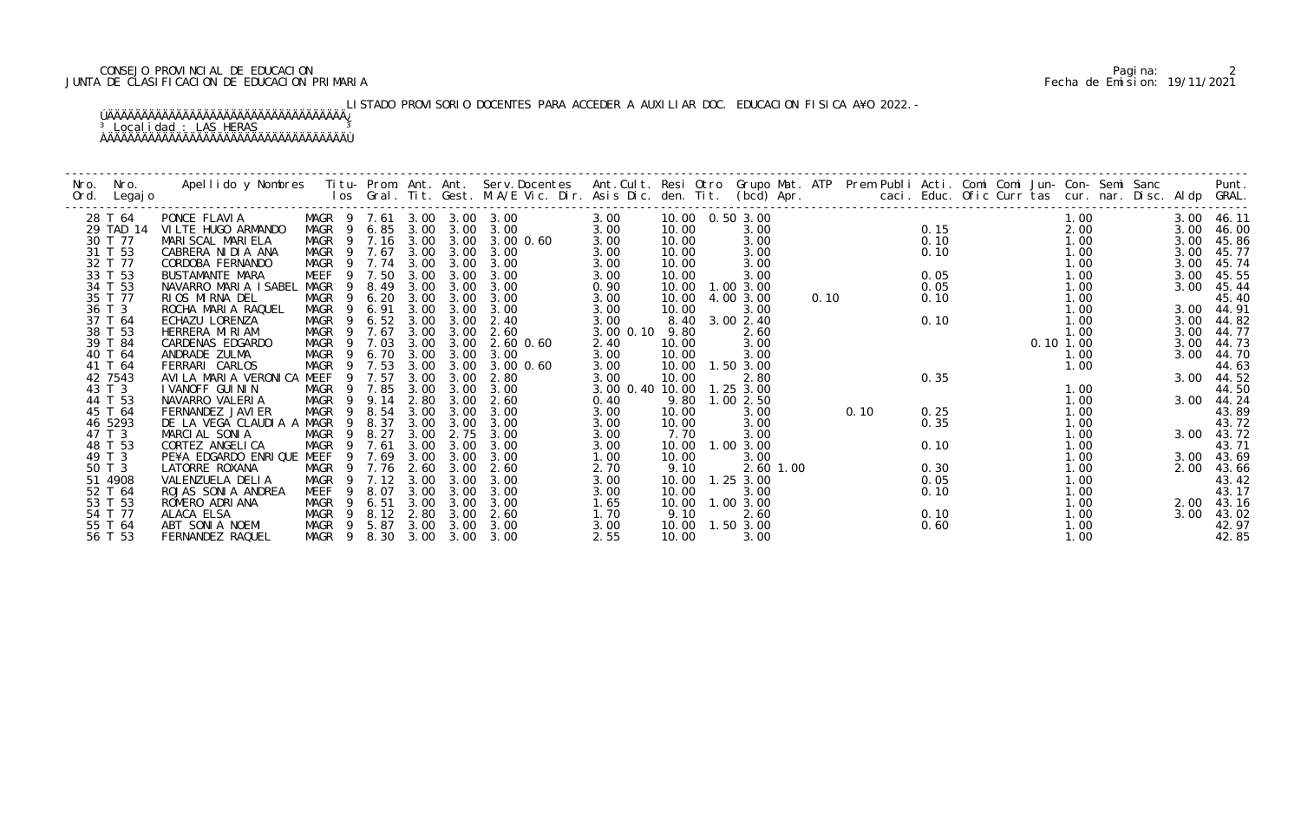## CONSEJO PROVINCIAL DE EDUCACION Pagina: 2 JUNTA DE CLASIFICACION DE EDUCACION PRIMARIA Fecha de Emision: 19/11/2021

# LISTADO PROVISORIO DOCENTES PARA ACCEDER A AUXILIAR DOC. EDUCACION FISICA A¥O 2022.-

| Nro. | Nro.               | Apellido y Nombres - Titu- Prom. Ant. Ant. Serv.Docentes - Ant.Cult. Resi Otro Grupo Mat. ATP Prem Publi Acti. Comi Comi Jun- Con- Semi Sanc - - - Punt.<br>Ios Gral. Tit. Gest. M.A/E Vic. Dir. Asis Dic. den. Tit. (bcd) Apr. - |                |                            |              |              |                                 |                           |               |                   |      |      |      |  |              |      |                     |
|------|--------------------|-----------------------------------------------------------------------------------------------------------------------------------------------------------------------------------------------------------------------------------|----------------|----------------------------|--------------|--------------|---------------------------------|---------------------------|---------------|-------------------|------|------|------|--|--------------|------|---------------------|
| Ord. | Legaj o            |                                                                                                                                                                                                                                   |                |                            |              |              |                                 |                           |               |                   |      |      |      |  |              |      |                     |
|      | 28 T 64            | PONCE FLAVIA                                                                                                                                                                                                                      |                | MAGR 9 7.61 3.00 3.00 3.00 |              |              |                                 | 3.00                      |               | 10.00  0.50  3.00 |      |      |      |  | 1.00         |      | 3.00 46.11          |
|      | 29 TAD 14          | VILTE HUGO ARMANDO                                                                                                                                                                                                                |                | MAGR 9 6.85 3.00 3.00      |              |              | 3.00                            | 3.00                      | 10.00         | 3.00              |      |      | 0.15 |  | 2.00         | 3.00 | 46.00               |
|      | 30 T 77            | MARI SCAL MARI ELA                                                                                                                                                                                                                |                |                            |              |              | MAGR 9 7.16 3.00 3.00 3.00 0.60 | 3.00                      | 10.00         | 3.00              |      |      | 0.10 |  | 1.00         | 3.00 | 45.86               |
|      | 31 T 53            | CABRERA NI DI A ANA                                                                                                                                                                                                               |                | MAGR 9 7.67                | 3.00         | 3.00         | 3.00                            | 3.00                      | 10.00         | 3.00              |      |      | 0.10 |  | 1.00         | 3.00 | 45.77               |
|      | 32 T 77            | CORDOBA FERNANDO                                                                                                                                                                                                                  |                | MAGR 9 7.74                | 3.00         | 3.00         | 3.00                            | 3.00                      | 10.00         | 3.00              |      |      |      |  | 1.00         | 3.00 | 45.74               |
|      | 33 T 53            | BUSTAMANTE MARA                                                                                                                                                                                                                   | MEEF           | 9 7.50                     | 3.00         | 3.00         | 3.00                            | 3.00                      | 10.00         | 3.00              |      |      | 0.05 |  | 1.00         | 3.00 | 45.55               |
|      | 34 T 53            | NAVARRO MARIA ISABEL                                                                                                                                                                                                              | MAGR           | 9 8.49                     | 3.00         | 3.00         | 3.00                            | 0.90                      |               | 10.00  1.00  3.00 |      |      | 0.05 |  | 1.00         | 3.00 | 45.44               |
|      | 35 T 77            | RIOS MIRNA DEL                                                                                                                                                                                                                    | MAGR           | 6.20<br>9                  | 3.00         | 3.00         | 3.00                            | 3.00                      | 10.00         | 4.00 3.00         | 0.10 |      | 0.10 |  | 1.00         |      | 45.40               |
|      | 36 T 3             | ROCHA MARIA RAQUEL                                                                                                                                                                                                                | MAGR           | 6.91<br>9                  | 3.00         | 3.00         | 3.00                            | 3.00                      | 10.00         | 3.00              |      |      |      |  | 1.00         | 3.00 | 44.91               |
|      | 37 T 64            | ECHAZU LORENZA                                                                                                                                                                                                                    | MAGR           | 6.52<br>- 9                | 3.00         | 3.00         | 2.40                            | 3.00                      |               | 8.40 3.00 2.40    |      |      | 0.10 |  | 1.00         | 3.00 | 44.82               |
|      | 38 T 53            | HERRERA MIRIAM                                                                                                                                                                                                                    |                | MAGR 9 7.67                | 3.00         | 3.00         | 2.60                            | 3.00 0.10                 | 9.80          | 2.60              |      |      |      |  | 1.00         | 3.00 | 44.77               |
|      | 39 T 84            | CARDENAS EDGARDO                                                                                                                                                                                                                  | MAGR           | 9 7.03                     | 3.00         | 3.00         | 2.60 0.60                       | 2.40                      | 10.00         | 3.00              |      |      |      |  | 0.10 1.00    | 3.00 | 44.73               |
|      | 40 T 64            | ANDRADE ZULMA                                                                                                                                                                                                                     | MAGR           | 6.70                       | 3.00         | 3.00         | 3.00                            | 3.00                      | 10.00         | 3.00              |      |      |      |  | 1.00         | 3.00 | 44.70               |
|      | 41 T 64            | FERRARI CARLOS                                                                                                                                                                                                                    | MAGR           | 9 7.53                     | 3.00         | 3.00         | 3.00 0.60                       | 3.00                      |               | 10.00  1.50  3.00 |      |      |      |  | 1.00         |      | 44.63               |
|      | 42 7543            | AVILA MARIA VERONICA MEEF                                                                                                                                                                                                         |                | 9 7.57                     | 3.00         | 3.00         | 2.80                            | 3.00                      | 10.00         | 2.80              |      |      | 0.35 |  |              |      | 3.00 44.52          |
|      | 43 T 3             | I VANOFF GUI NI N                                                                                                                                                                                                                 | MAGR           | 7.85<br>9                  | 3.00         | 3.00         | 3.00                            | 3.00 0.40 10.00 1.25 3.00 |               |                   |      |      |      |  | 1.00         |      | 44.50               |
|      | 44 T 53            | NAVARRO VALERIA                                                                                                                                                                                                                   | MAGR           | 9.14<br>9                  | 2.80         | 3.00         | 2.60                            | 0.40                      | 9.80          | 1.00 2.50         |      |      |      |  | 1.00         | 3.00 | 44.24               |
|      | 45 T 64            | FERNANDEZ JAVI ER                                                                                                                                                                                                                 | MAGR           | 8.54<br>- 9                | 3.00         | 3.00         | 3.00                            | 3.00                      | 10.00         | 3.00              |      | 0.10 | 0.25 |  | 1.00         |      | 43.89               |
|      | 46 5293            | DE LA VEGA CLAUDIA A                                                                                                                                                                                                              | MAGR           | 8.37<br>- 9                | 3.00         | 3.00         | 3.00                            | 3.00                      | 10.00         | 3.00              |      |      | 0.35 |  | 1.00         |      | 43.72               |
|      | 47 T 3             | MARCIAL SONIA                                                                                                                                                                                                                     | <b>MAGR</b>    | 8.27<br>9                  | 3.00         | 2.75         | 3.00                            | 3.00                      | 7.70          | 3.00              |      |      |      |  | 1.00         |      | 3.00 43.72          |
|      | 48 T 53            | CORTEZ ANGELICA                                                                                                                                                                                                                   | MAGR           | 7.61<br>9                  | 3.00         | 3.00         | 3.00                            | 3.00                      |               | 10.00  1.00  3.00 |      |      | 0.10 |  | 1.00         |      | 43.71               |
|      | 49 T 3             | PE¥A EDGARDO ENRIQUE MEEF                                                                                                                                                                                                         |                | 9 7.69                     | 3.00         | 3.00         | 3.00                            | 1.00                      | 10.00         | 3.00              |      |      |      |  | 1.00         |      | 3.00 43.69          |
|      | 50 T 3             | LATORRE ROXANA                                                                                                                                                                                                                    | MAGR           | 9 7.76                     | 2.60         | 3.00         | 2.60                            | 2.70                      | 9.10          | 2.60 1.00         |      |      | 0.30 |  | 1.00         | 2.00 | 43.66               |
|      | 51 4908            | VALENZUELA DELIA                                                                                                                                                                                                                  | MAGR           | 7.12<br>9                  | 3.00         | 3.00         | 3.00                            | 3.00                      | 10.00         | $1.25$ $3.00$     |      |      | 0.05 |  | 1.00         |      | 43.42               |
|      | 52 T 64            | ROJAS SONIA ANDREA                                                                                                                                                                                                                | MEEF           | 8.07<br>- 9                | 3.00<br>3.00 | 3.00         | 3.00<br>3.00                    | 3.00                      | 10.00         | 3.00              |      |      | 0.10 |  | 1.00         |      | 43.17               |
|      | 53 T 53<br>54 T 77 | ROMERO ADRIANA<br>ALACA ELSA                                                                                                                                                                                                      | MAGR<br>MAGR 9 | 9 6.51<br>8.12 2.80        |              | 3.00<br>3.00 | 2.60                            | 1.65<br>1.70              | 10.00<br>9.10 | 1.00 3.00<br>2.60 |      |      | 0.10 |  | 1.00<br>1.00 | 3.00 | 2.00 43.16<br>43.02 |
|      | 55 T 64            | ABT SONIA NOEMI                                                                                                                                                                                                                   | MAGR 9         | 5.87                       | 3.00         | 3.00         | 3.00                            | 3.00                      | 10.00         | 1.50 3.00         |      |      | 0.60 |  | 1.00         |      | 42.97               |
|      | 56 T 53            | FERNANDEZ RAQUEL                                                                                                                                                                                                                  |                | MAGR 9 8.30 3.00 3.00 3.00 |              |              |                                 | 2.55                      | 10.00         | 3.00              |      |      |      |  | 1.00         |      | 42.85               |
|      |                    |                                                                                                                                                                                                                                   |                |                            |              |              |                                 |                           |               |                   |      |      |      |  |              |      |                     |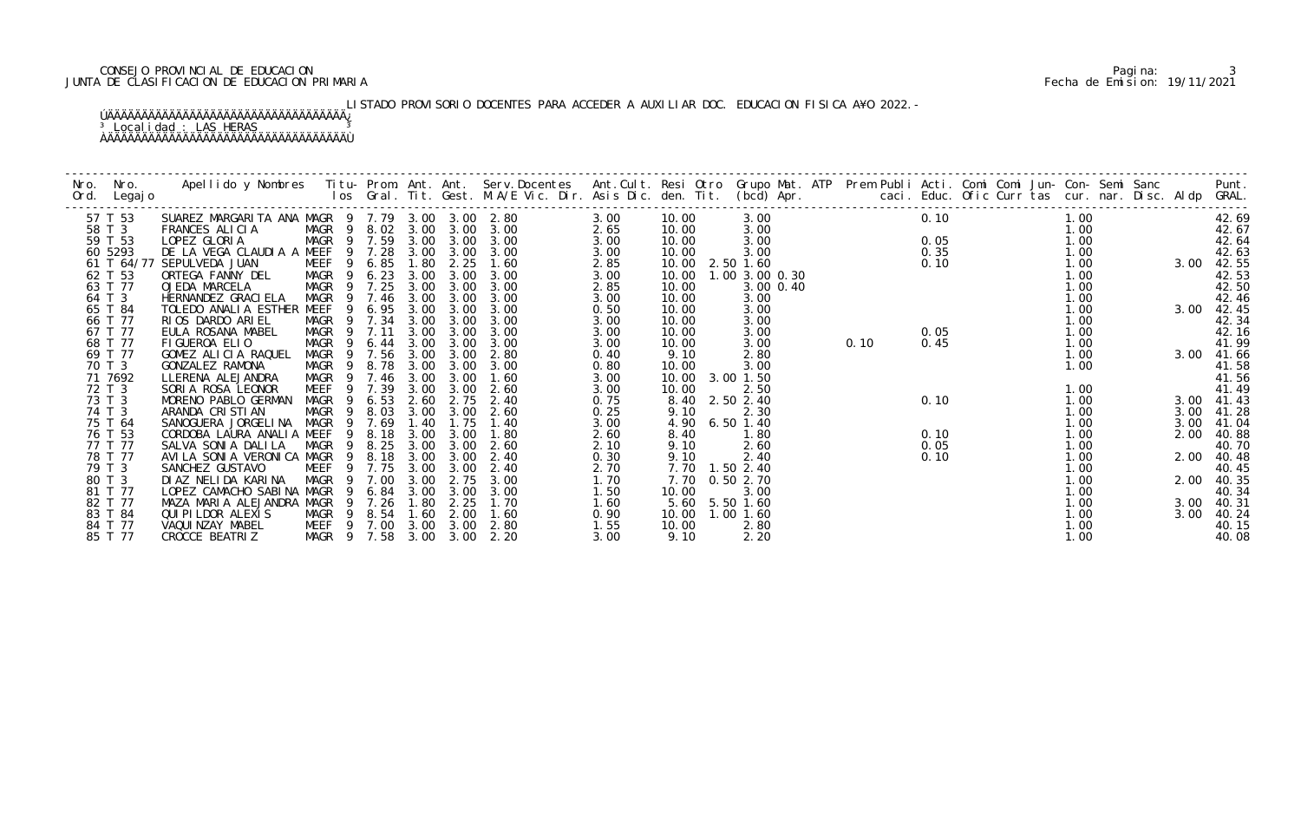## CONSEJO PROVINCIAL DE EDUCACION Pagina: 3 JUNTA DE CLASIFICACION DE EDUCACION PRIMARIA Fecha de Emision: 19/11/2021

# LISTADO PROVISORIO DOCENTES PARA ACCEDER A AUXILIAR DOC. EDUCACION FISICA A¥O 2022.-

| Nro. | Nro.<br>Ord. Legajo |                                                 |                            |             |      |                  |      |      |                   | $\begin{array}{cccc}\n & & \text{} & \text{} & \text{} \\ 3.00 & & & 0.10 \\ 7.00 & & & 0.05 \\ 0 & & & 0.35 \\ 0 & & & 0.10\n\end{array}$<br>$\begin{array}{cccc}\n30 & & 0.05 \\ 30 & & & 0.10 \\ 1.0 & & & \\ 0.05 & & 1.0 \\ 1.0 & & 0.45\n\end{array}$ |  |      |                                                                            |      |      |            |
|------|---------------------|-------------------------------------------------|----------------------------|-------------|------|------------------|------|------|-------------------|-------------------------------------------------------------------------------------------------------------------------------------------------------------------------------------------------------------------------------------------------------------|--|------|----------------------------------------------------------------------------|------|------|------------|
|      | 57 T 53             | SUAREZ MARGARITA ANA MAGR 9 7.79 3.00 3.00 2.80 |                            |             |      |                  |      | 3.00 | 10.00             |                                                                                                                                                                                                                                                             |  |      |                                                                            |      |      | 42.69      |
|      | 58 T 3              | FRANCES ALICIA                                  | MAGR 9 8.02 3.00 3.00 3.00 |             |      |                  |      | 2.65 | 10.00             |                                                                                                                                                                                                                                                             |  |      | $\begin{array}{ccc} 0.05 & 1.00 \\ 0.35 & 1.00 \\ 0.10 & 1.00 \end{array}$ |      |      | 42.67      |
|      | 59 T 53             | LOPEZ GLORIA                                    | MAGR 9 7.59 3.00 3.00      |             |      |                  | 3.00 | 3.00 | 10.00             |                                                                                                                                                                                                                                                             |  |      |                                                                            |      |      | 42.64      |
|      | 60 5293             | DE LA VEGA CLAUDIA A MEEF 9 7.28                |                            |             |      | 3.00 3.00        | 3.00 | 3.00 | 10.00             |                                                                                                                                                                                                                                                             |  |      |                                                                            |      |      | 42.63      |
|      |                     | 61 T 64/77 SEPULVEDA JUAN                       | <b>MEEF</b>                | 9 6.85      | 1.80 | 2.25             | 1.60 | 2.85 | 10.00 2.50 1.60   |                                                                                                                                                                                                                                                             |  |      |                                                                            |      | 3.00 | 42.55      |
|      | 62 T 53             | ORTEGA FANNY DEL                                | MAGR 9 6.23 3.00           |             |      | 3.00             | 3.00 | 3.00 | 10.00             | 1.00 3.00 0.30                                                                                                                                                                                                                                              |  |      |                                                                            |      |      | 42.53      |
|      | 63 T 77             | OJEDA MARCELA                                   | MAGR 9 7.25                |             | 3.00 | 3.00             | 3.00 | 2.85 | 10.00             |                                                                                                                                                                                                                                                             |  |      |                                                                            |      |      | 42.50      |
|      | 64 T 3              | HERNANDEZ GRACI ELA                             | MAGR 9 7.46 3.00 3.00      |             |      |                  | 3.00 | 3.00 | 10.00             |                                                                                                                                                                                                                                                             |  |      |                                                                            |      |      | 42.46      |
|      | 65 T 84             | TOLEDO ANALIA ESTHER MEEF                       | 9                          | 6.95        | 3.00 | 3.00             | 3.00 | 0.50 | 10.00             |                                                                                                                                                                                                                                                             |  |      |                                                                            |      | 3.00 | 42.45      |
|      | 66 T 77             | RIOS DARDO ARIEL                                | MAGR 9 7.34 3.00           |             |      | 3.00             | 3.00 | 3.00 | 10.00             |                                                                                                                                                                                                                                                             |  |      |                                                                            |      |      | 42.34      |
|      | 67 T 77             | EULA ROSANA MABEL                               | MAGR 9 7.11                |             |      | 3.00 3.00        | 3.00 | 3.00 | 10.00             |                                                                                                                                                                                                                                                             |  |      |                                                                            |      |      | 42.16      |
|      | 68 T 77             | FIGUEROA ELIO                                   | MAGR                       | 9 6.44 3.00 |      | 3.00             | 3.00 | 3.00 | 10.00             |                                                                                                                                                                                                                                                             |  |      |                                                                            |      |      | 41.99      |
|      | 69 T 77             | GOMEZ ALICIA RAQUEL                             | MAGR 9 7.56 3.00           |             |      | 3.00             | 2.80 | 0.40 | 9.10              | 2.80                                                                                                                                                                                                                                                        |  |      |                                                                            | 1.00 | 3.00 | 41.66      |
|      | 70 T 3              | GONZALEZ RAMONA                                 | MAGR 9 8.78                |             | 3.00 | 3.00             | 3.00 | 0.80 | 10.00             | 3.00                                                                                                                                                                                                                                                        |  |      |                                                                            | 1.00 |      | 41.58      |
|      | 71 7692             | LLERENA ALEJANDRA                               | MAGR 9 7.46                |             | 3.00 | 3.00             | 1.60 | 3.00 | 10.00 3.00 1.50   |                                                                                                                                                                                                                                                             |  |      |                                                                            |      |      | 41.56      |
|      | 72 T 3              | SORIA ROSA LEONOR                               | MEEF                       | 9 7.39      | 3.00 | 3.00             | 2.60 | 3.00 | 10.00             | 2.50                                                                                                                                                                                                                                                        |  |      |                                                                            | 1.00 |      | 41.49      |
|      | 73 T 3              | MORENO PABLO GERMAN                             | MAGR 9 6.53                |             | 2.60 | 2.75             | 2.40 | 0.75 | 8.40              | 2.50 2.40                                                                                                                                                                                                                                                   |  | 0.10 |                                                                            | 1.00 | 3.00 | 41.43      |
|      | 74 T 3              | ARANDA CRISTIAN                                 | MAGR 9 8.03                |             |      | $3.00\quad 3.00$ | 2.60 | 0.25 | 9.10              | 2.30                                                                                                                                                                                                                                                        |  |      |                                                                            | 1.00 | 3.00 | 41.28      |
|      | 75 T 64             | SANOGUERA JORGELINA MAGR 9 7.69                 |                            |             | 1.40 | 1.75             | 1.40 | 3.00 | 4.90              | 6.50 1.40                                                                                                                                                                                                                                                   |  |      |                                                                            | 1.00 | 3.00 | 41.04      |
|      | 76 T 53             | CORDOBA LAURA ANALIA MEEF                       |                            | 9 8.18      | 3.00 | 3.00             | 1.80 | 2.60 | 8.40              | 1.80                                                                                                                                                                                                                                                        |  | 0.10 |                                                                            | 1.00 | 2.00 | 40.88      |
|      | 77 T 77             | SALVA SONIA DALILA                              | MAGR 9 8.25                |             | 3.00 | 3.00             | 2.60 | 2.10 | 9.10              | 2.60                                                                                                                                                                                                                                                        |  | 0.05 |                                                                            | 1.00 |      | 40.70      |
|      | 78 T 77             | AVILA SONIA VERONICA MAGR                       |                            | 9 8.18      | 3.00 | 3.00             | 2.40 | 0.30 | 9.10              | 2.40                                                                                                                                                                                                                                                        |  | 0.10 |                                                                            | 1.00 |      | 2.00 40.48 |
|      | 79 T 3              | SANCHEZ GUSTAVO                                 | MEEF                       | 9 7.75      |      | 3.00 3.00        | 2.40 | 2.70 | 7.70 1.50 2.40    |                                                                                                                                                                                                                                                             |  |      |                                                                            | 1.00 |      | 40.45      |
|      | 80 T 3              | DIAZ NELIDA KARINA                              | MAGR 9 7.00                |             | 3.00 | 2.75             | 3.00 | 1.70 | 7.70              | 0.50 2.70                                                                                                                                                                                                                                                   |  |      |                                                                            | 1.00 | 2.00 | 40.35      |
|      | 81 T 77             | LOPEZ CAMACHO SABINA MAGR                       |                            | 9 6.84 3.00 |      | 3.00             | 3.00 | 1.50 | 10.00             | 3.00                                                                                                                                                                                                                                                        |  |      |                                                                            | 1.00 |      | 40.34      |
|      | 82 T 77             | MAZA MARIA ALEJANDRA MAGR 9 7.26                |                            |             | 1.80 | 2.25             | 1.70 | 1.60 | 5.60 5.50 1.60    |                                                                                                                                                                                                                                                             |  |      |                                                                            | 1.00 | 3.00 | 40.31      |
|      | 83 T 84             | QUI PI LDOR ALEXI S                             | MAGR 9 8.54 1.60           |             |      | 2.00             | 1.60 | 0.90 | 10.00  1.00  1.60 |                                                                                                                                                                                                                                                             |  |      |                                                                            | 1.00 | 3.00 | 40.24      |
|      | 84 T 77             | VAQUI NZAY MABEL                                | MEEF 9 7.00 3.00           |             |      | 3.00             | 2.80 | 1.55 | 10.00             | 2.80                                                                                                                                                                                                                                                        |  |      |                                                                            | 1.00 |      | 40.15      |
|      | 85 T 77             | CROCCE BEATRIZ                                  | MAGR 9 7.58 3.00 3.00 2.20 |             |      |                  |      | 3.00 | 9.10              | 2.20                                                                                                                                                                                                                                                        |  |      |                                                                            | 1.00 |      | 40.08      |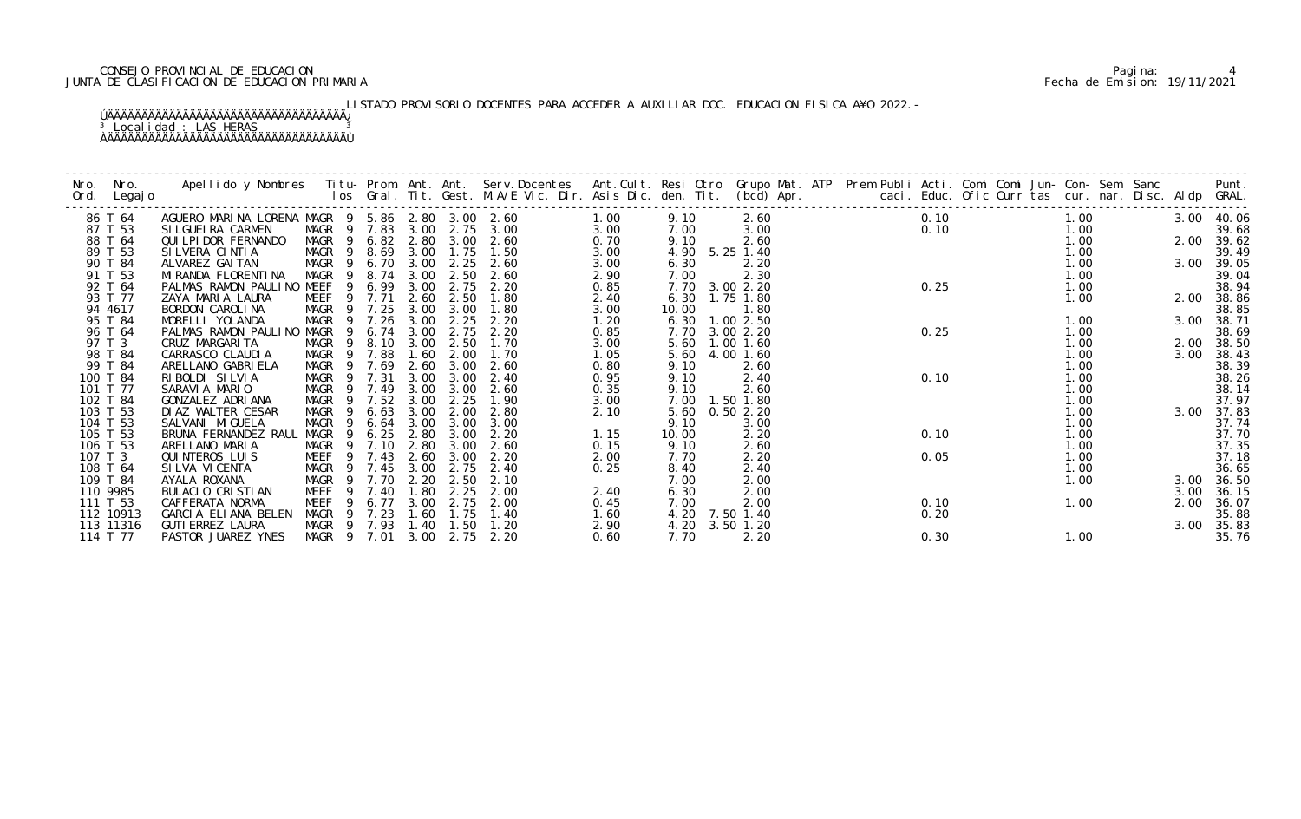## CONSEJO PROVINCIAL DE EDUCACION Pagina: 4 JUNTA DE CLASIFICACION DE EDUCACION PRIMARIA Fecha de Emision: 19/11/2021

# LISTADO PROVISORIO DOCENTES PARA ACCEDER A AUXILIAR DOC. EDUCACION FISICA A¥O 2022.-

| Nro.<br>Ord. | Nro.<br>Legaj o | Apellido y Nombres Titu-Prom. Ant. Ant. Serv.Docentes Ant.Cult. Resi Otro Grupo Mat. ATP Prem Publi Acti. Comi Comi Jun-Con-Semi Sanc Punt.<br>Ios Gral. Tit. Gest. M.A/E Vic. Dir. Asis Dic. den. Tit. (bcd) Apr. |             |                |      |      |      |                            |      |       |                |  |      |           |      |  |      |            |
|--------------|-----------------|--------------------------------------------------------------------------------------------------------------------------------------------------------------------------------------------------------------------|-------------|----------------|------|------|------|----------------------------|------|-------|----------------|--|------|-----------|------|--|------|------------|
|              | 86 T 64         | AGUERO MARINA LORENA MAGR 9 5.86 2.80 3.00 2.60                                                                                                                                                                    |             |                |      |      |      |                            | 1.00 | 9.10  | 2.60           |  |      | 0.10 1.00 |      |  |      | 3.00 40.06 |
|              | 87 T 53         | SI LGUEI RA CARMEN                                                                                                                                                                                                 |             |                |      |      |      | MAGR 9 7.83 3.00 2.75 3.00 | 3.00 | 7.00  | 3.00           |  |      | 0.10      | 1.00 |  |      | 39.68      |
|              | 88 T 64         | QUI LPI DOR FERNANDO                                                                                                                                                                                               |             |                |      |      |      | MAGR 9 6.82 2.80 3.00 2.60 | 0.70 | 9.10  | 2.60           |  |      |           | 1.00 |  |      | 2.00 39.62 |
|              | 89 T 53         | SILVERA CINTIA                                                                                                                                                                                                     | MAGR 9 8.69 |                |      | 3.00 | 1.75 | 1.50                       | 3.00 |       | 4.90 5.25 1.40 |  |      |           | 1.00 |  |      | 39.49      |
|              | 90 T 84         | ALVAREZ GAI TAN                                                                                                                                                                                                    | MAGR        |                |      |      |      | 9 6.70 3.00 2.25 2.60      | 3.00 | 6.30  | 2.20           |  |      |           | 1.00 |  | 3.00 | 39.05      |
|              | 91 T 53         | MI RANDA FLORENTI NA                                                                                                                                                                                               | MAGR        | - 9            | 8.74 | 3.00 | 2.50 | 2.60                       | 2.90 | 7.00  | 2.30           |  |      |           | 1.00 |  |      | 39.04      |
|              | 92 T 64         | PALMAS RAMON PAULINO MEEF                                                                                                                                                                                          |             | 9 6.99         |      | 3.00 | 2.75 | 2.20                       | 0.85 |       | 7.70 3.00 2.20 |  | 0.25 |           | 1.00 |  |      | 38.94      |
|              | 93 T 77         | ZAYA MARIA LAURA                                                                                                                                                                                                   | MEEF        | 9 7.71         |      | 2.60 | 2.50 | 1.80                       | 2.40 |       | 6.30 1.75 1.80 |  |      |           | 1.00 |  |      | 2.00 38.86 |
|              | 94 4617         | BORDON CAROLINA                                                                                                                                                                                                    | MAGR        | 9 7.25         |      | 3.00 | 3.00 | 1.80                       | 3.00 | 10.00 | 1.80           |  |      |           |      |  |      | 38.85      |
|              | 95 T 84         | MORELLI YOLANDA                                                                                                                                                                                                    | MAGR        | - 9            | 7.26 | 3.00 | 2.25 | 2.20                       | 1.20 | 6.30  | 1.002.50       |  |      |           | 1.00 |  | 3.00 | 38.71      |
|              | 96 T 64         | PALMAS RAMON PAULINO MAGR                                                                                                                                                                                          |             | $\overline{9}$ | 6.74 | 3.00 | 2.75 | 2.20                       | 0.85 | 7.70  | 3.00 2.20      |  | 0.25 |           | 1.00 |  |      | 38.69      |
|              | 97 T 3          | CRUZ MARGARI TA                                                                                                                                                                                                    | MAGR        | $\overline{9}$ | 8.10 | 3.00 | 2.50 | 1.70                       | 3.00 | 5.60  | $1.00$ $1.60$  |  |      |           | 1.00 |  | 2.00 | 38.50      |
|              | 98 T 84         | CARRASCO CLAUDIA                                                                                                                                                                                                   | MAGR        | 9 7.88         |      | 1.60 | 2.00 | 1.70                       | 1.05 | 5.60  | 4.00 1.60      |  |      |           | 1.00 |  | 3.00 | 38.43      |
|              | 99 T 84         | ARELLANO GABRI ELA                                                                                                                                                                                                 | MAGR 9      |                | 7.69 | 2.60 | 3.00 | 2.60                       | 0.80 | 9.10  | 2.60           |  |      |           | 1.00 |  |      | 38.39      |
|              | 100 T 84        | RIBOLDI SILVIA                                                                                                                                                                                                     | MAGR 9 7.31 |                |      | 3.00 | 3.00 | 2.40                       | 0.95 | 9.10  | 2.40           |  | 0.10 |           | 1.00 |  |      | 38.26      |
|              | 101 T 77        | SARAVIA MARIO                                                                                                                                                                                                      | MAGR        | 9 7.49         |      | 3.00 | 3.00 | 2.60                       | 0.35 | 9.10  | 2.60           |  |      |           | 1.00 |  |      | 38.14      |
|              | 102 T 84        | GONZALEZ ADRIANA                                                                                                                                                                                                   | MAGR        | 9              | 7.52 | 3.00 | 2.25 | 1.90                       | 3.00 | 7.00  | 1.50 1.80      |  |      |           | 1.00 |  |      | 37.97      |
|              | 103 T 53        | DI AZ WALTER CESAR                                                                                                                                                                                                 | MAGR        |                | 6.63 | 3.00 | 2.00 | 2.80                       | 2.10 | 5.60  | 0.502.20       |  |      |           | 1.00 |  | 3.00 | 37.83      |
|              | 104 T 53        | SALVANI MI GUELA                                                                                                                                                                                                   | MAGR        |                | 6.64 | 3.00 | 3.00 | 3.00                       |      | 9.10  | 3.00           |  |      |           | 1.00 |  |      | 37.74      |
|              | 105 T 53        | BRUNA FERNANDEZ RAUL                                                                                                                                                                                               | MAGR        | - 9            | 6.25 | 2.80 | 3.00 | 2.20                       | 1.15 | 10.00 | 2.20           |  | 0.10 |           | 1.00 |  |      | 37.70      |
|              | 106 T 53        | ARELLANO MARIA                                                                                                                                                                                                     | MAGR        | $\overline{9}$ | 7.10 | 2.80 | 3.00 | 2.60                       | 0.15 | 9.10  | 2.60           |  |      |           | 1.00 |  |      | 37.35      |
| 107 T 3      |                 | QUI NTEROS LUI S                                                                                                                                                                                                   | MEEF        | 9              | 7.43 | 2.60 | 3.00 | 2.20                       | 2.00 | 7.70  | 2.20           |  | 0.05 |           | 1.00 |  |      | 37.18      |
|              | 108 T 64        | SI LVA VI CENTA                                                                                                                                                                                                    | MAGR 9 7.45 |                |      | 3.00 | 2.75 | 2.40                       | 0.25 | 8.40  | 2.40           |  |      |           | 1.00 |  |      | 36.65      |
|              | 109 T 84        | AYALA ROXANA                                                                                                                                                                                                       | MAGR        | 9 7.70         |      | 2.20 | 2.50 | 2.10                       |      | 7.00  | 2.00           |  |      |           | 1.00 |  | 3.00 | 36.50      |
|              | 110 9985        | BULACIO CRISTIAN                                                                                                                                                                                                   | MEEF        | 9              | 7.40 | 1.80 | 2.25 | 2.00                       | 2.40 | 6.30  | 2.00           |  |      |           |      |  | 3.00 | 36.15      |
|              | 111 T 53        | CAFFERATA NORMA                                                                                                                                                                                                    | MEEF        | -9             | 6.77 | 3.00 | 2.75 | 2.00                       | 0.45 | 7.00  | 2.00           |  | 0.10 |           | 1.00 |  | 2.00 | 36.07      |
|              | 112 10913       | GARCIA ELIANA BELEN                                                                                                                                                                                                | MAGR        | 9 7.23         |      | 1.60 | 1.75 | 1.40                       | 1.60 | 4.20  | 7.50 1.40      |  | 0.20 |           |      |  |      | 35.88      |
|              | 113 11316       | <b>GUTI ERREZ LAURA</b>                                                                                                                                                                                            | MAGR 9 7.93 |                |      | 1.40 | 1.50 | 1.20                       | 2.90 |       | 4.20 3.50 1.20 |  |      |           |      |  | 3.00 | 35.83      |
|              | 114 T 77        | PASTOR JUAREZ YNES                                                                                                                                                                                                 | MAGR 9 7.01 |                |      | 3.00 | 2.75 | 2.20                       | 0.60 | 7.70  | 2.20           |  | 0.30 |           | 1.00 |  |      | 35.76      |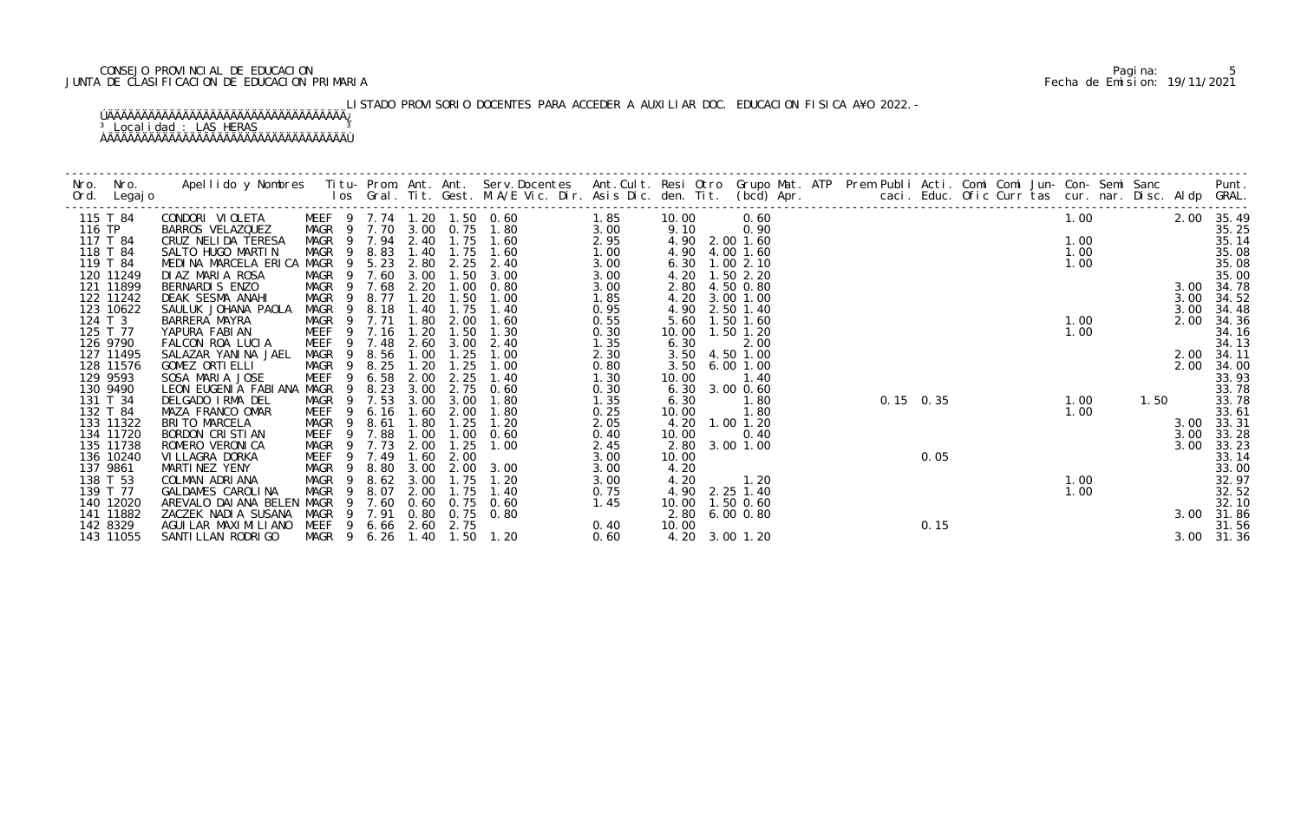## CONSEJO PROVINCIAL DE EDUCACION Pagina: 5 JUNTA DE CLASIFICACION DE EDUCACION PRIMARIA Fecha de Emision: 19/11/2021

# LISTADO PROVISORIO DOCENTES PARA ACCEDER A AUXILIAR DOC. EDUCACION FISICA A¥O 2022.-

|        |                        |                                     |                           |                |           |              |              |                                                          | 1.85         |               | 0.60                   |  |             |      |  | 1.00             |      |              |                |
|--------|------------------------|-------------------------------------|---------------------------|----------------|-----------|--------------|--------------|----------------------------------------------------------|--------------|---------------|------------------------|--|-------------|------|--|------------------|------|--------------|----------------|
| 116 TP | 115 T 84               | CONDORI VIOLETA<br>BARROS VELAZQUEZ |                           |                |           |              |              | MEEF 9 7.74 1.20 1.50 0.60<br>MAGR 9 7.70 3.00 0.75 1.80 | 3.00         | 10.00<br>9.10 | 0.90                   |  |             |      |  |                  |      | 2.00 35.49   | 35.25          |
|        | 117 T 84               | CRUZ NELIDA TERESA                  |                           |                |           |              |              | MAGR 9 7.94 2.40 1.75 1.60                               | 2.95         |               | 4.90 2.00 1.60         |  |             |      |  | 1.00             |      |              | 35.14          |
|        | 118 T 84               | SALTO HUGO MARTIN                   | MAGR 9 8.83               |                |           |              |              | 1.40 1.75 1.60                                           | 1.00         |               | 4.90 4.00 1.60         |  |             |      |  |                  |      |              | 35.08          |
|        | 119 T 84               | MEDINA MARCELA ERICA MAGR 9 5.23    |                           |                |           |              |              | 2.80 2.25 2.40                                           | 3.00         |               | 6.30 1.00 2.10         |  |             |      |  | $1.00$<br>$1.00$ |      |              | 35.08          |
|        | 120 11249              | DIAZ MARIA ROSA                     | MAGR 9 7.60 3.00          |                |           |              | 1.50         | 3.00                                                     | 3.00         |               | 4.20 1.50 2.20         |  |             |      |  |                  |      |              | 35.00          |
|        | 121 11899              | BERNARDIS ENZO                      | MAGR 9 7.68 2.20          |                |           |              | 1.00         | 0.80                                                     | 3.00         |               | 2.80 4.50 0.80         |  |             |      |  |                  |      |              | 3.00 34.78     |
|        | 122 11242              | DEAK SESMA ANAHI                    | MAGR 9 8.77 1.20          |                |           |              | 1.50         | 1.00                                                     | 1.85         |               | 4.20 3.00 1.00         |  |             |      |  |                  |      | 3.00         | 34.52          |
|        | 123 10622              | SAULUK JOHANA PAOLA                 | MAGR                      | $\overline{9}$ | 8.18 1.40 |              | 1.75         | 1.40                                                     | 0.95         |               | 4.90 2.50 1.40         |  |             |      |  |                  |      | 3.00         | 34.48          |
|        | 124 T 3                | BARRERA MAYRA                       | MAGR 9 7.71               |                |           | 1.80         | 2.00         | 1.60                                                     | 0.55         | 5.60          | 1.50 1.60              |  |             |      |  | 1.00             |      | 2.00         | 34.36          |
|        | 125 T 77               | YAPURA FABIAN                       | MEEF 9 7.16 1.20          |                |           |              | 1.50         | 1.30                                                     | 0.30         |               | 10.00  1.50  1.20      |  |             |      |  | 1.00             |      |              | 34.16          |
|        | 126 9790               | FALCON ROA LUCIA                    | MEEF 9 7.48               |                |           | 2.60         | 3.00         | 2.40                                                     | 1.35         | 6.30          | 2.00                   |  |             |      |  |                  |      |              | 34.13          |
|        | 127 11495              | SALAZAR YANINA JAEL                 | MAGR                      |                | 9 8.56    | 1.00         | 1.25         | 1.00                                                     | 2.30         | 3.50          | 4.50 1.00              |  |             |      |  |                  |      |              | 2.00 34.11     |
|        | 128 11576              | GOMEZ ORTI ELLI                     | MAGR 9 8.25               |                |           | 1.20         | 1.25         | 1.00                                                     | 0.80         | 3.50          | 6.001.00               |  |             |      |  |                  |      | 2.00         | 34.00          |
|        | 129 9593               | SOSA MARIA JOSE                     | <b>MEEF</b>               |                | 9 6.58    | 2.00         | 2.25         | 1.40                                                     | 1.30         | 10.00         | 1.40                   |  |             |      |  |                  |      |              | 33.93          |
|        | 130 9490               | LEON EUGENIA FABIANA MAGR           |                           | - 9            | 8.23      | 3.00         | 2.75         | 0.60                                                     | 0.30         | 6.30          | 3.00 0.60              |  |             |      |  |                  |      |              | 33.78          |
|        | 131 T 34               | DELGADO IRMA DEL                    | MAGR                      |                | 9 7.53    | 3.00         | 3.00         | 1.80                                                     | 1.35         | 6.30          | 1.80                   |  | $0.15$ 0.35 |      |  | 1.00             | 1.50 |              | 33.78          |
|        | 132 T 84               | MAZA FRANCO OMAR                    | MEEF                      | -9             | 6.16      | 1.60         | 2.00         | 1.80                                                     | 0.25         | 10.00         | 1.80                   |  |             |      |  | 1.00             |      |              | 33.61          |
|        | 133 11322              | BRITO MARCELA                       | MAGR                      | - 9            | 8.61      | 1.80         | 1.25         | 1.20                                                     | 2.05         |               | 4.20 1.00 1.20         |  |             |      |  |                  |      | 3.00         | 33.31          |
|        | 134 11720<br>135 11738 | BORDON CRISTIAN<br>ROMERO VERONI CA | MEEF 9 7.88               |                | 9 7.73    | 1.00<br>2.00 | 1.00<br>1.25 | 0.60<br>1.00                                             | 0.40         | 10.00         | 0.40<br>2.80 3.00 1.00 |  |             |      |  |                  |      | 3.00<br>3.00 | 33.28          |
|        | 136 10240              | VI LLAGRA DORKA                     | MAGR<br>MEEF <sub>9</sub> |                | 7.49      | 1.60         | 2.00         |                                                          | 2.45<br>3.00 | 10.00         |                        |  |             | 0.05 |  |                  |      |              | 33.23<br>33.14 |
|        | 137 9861               | MARTINEZ YENY                       | MAGR 9 8.80               |                |           | 3.00         | 2.00         | 3.00                                                     | 3.00         | 4.20          |                        |  |             |      |  |                  |      |              | 33.00          |
|        | 138 T 53               | COLMAN ADRIANA                      | MAGR 9 8.62 3.00          |                |           |              | 1.75         | 1.20                                                     | 3.00         | 4.20          | 1.20                   |  |             |      |  | 1.00             |      |              | 32.97          |
|        | 139 T 77               | GALDAMES CAROLINA                   | MAGR                      | - 9            | 8.07      | 2.00         | 1.75         | 1.40                                                     | 0.75         |               | 4.90 2.25 1.40         |  |             |      |  | 1.00             |      |              | 32.52          |
|        | 140 12020              | AREVALO DAI ANA BELEN MAGR          |                           | - 9            | 7.60      | 0.60         | 0.75         | 0.60                                                     | 1.45         |               | 10.00  1.50  0.60      |  |             |      |  |                  |      |              | 32.10          |
|        | 141 11882              | ZACZEK NADIA SUSANA                 | MAGR                      |                | 9 7.91    |              |              | 0.80 0.75 0.80                                           |              |               | 2.80 6.00 0.80         |  |             |      |  |                  |      |              | 3.00 31.86     |
|        | 142 8329               | AGUI LAR MAXI MI LI ANO             | MEEF 9 6.66 2.60 2.75     |                |           |              |              |                                                          | 0.40         | 10.00         |                        |  |             | 0.15 |  |                  |      |              | 31.56          |
|        | 143 11055              | SANTI LLAN RODRI GO                 |                           |                |           |              |              | MAGR 9 6.26 1.40 1.50 1.20                               | 0.60         |               | 4.20 3.00 1.20         |  |             |      |  |                  |      |              | 3.00 31.36     |
|        |                        |                                     |                           |                |           |              |              |                                                          |              |               |                        |  |             |      |  |                  |      |              |                |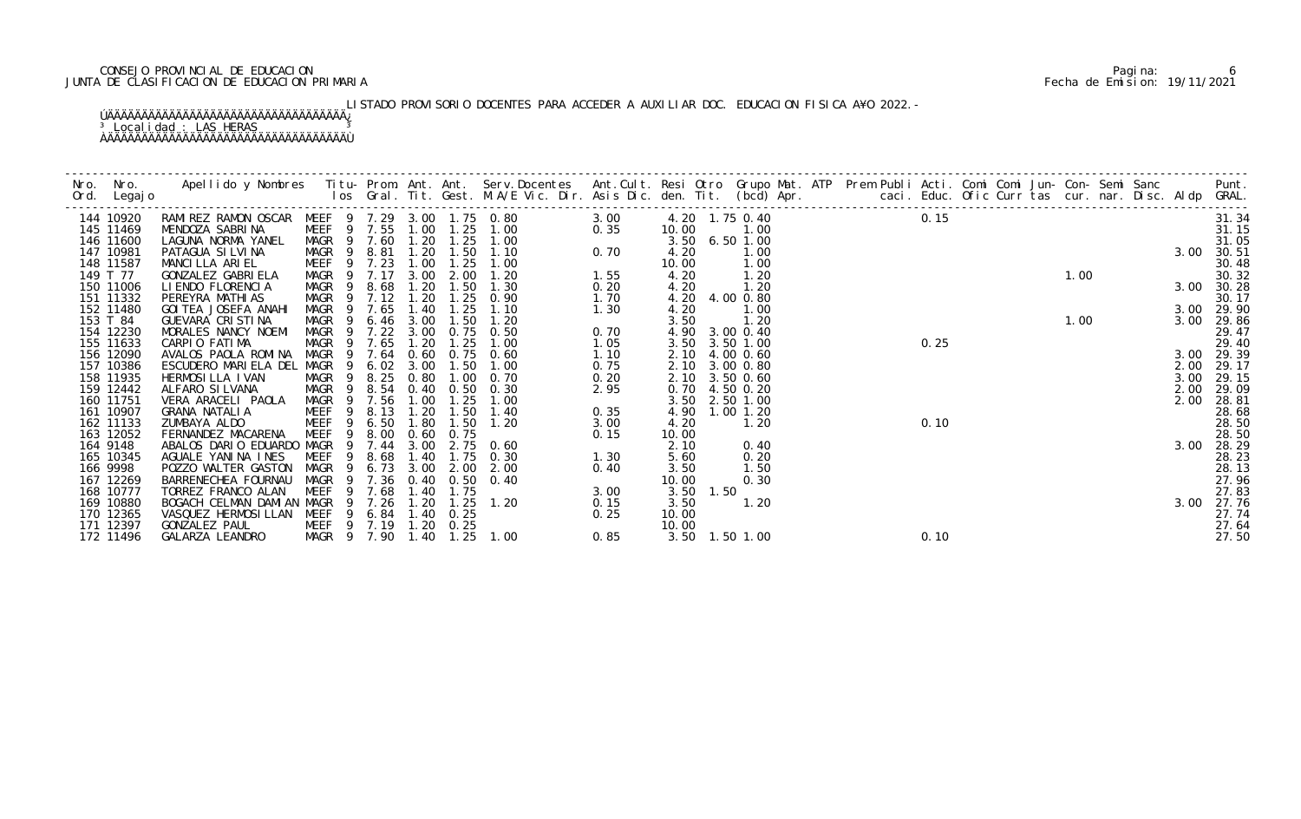## CONSEJO PROVINCIAL DE EDUCACION Pagina: 6 JUNTA DE CLASIFICACION DE EDUCACION PRIMARIA Fecha de Emision: 19/11/2021

# LISTADO PROVISORIO DOCENTES PARA ACCEDER A AUXILIAR DOC. EDUCACION FISICA A¥O 2022.-

| Nro. | Nro. In the New York of the New York of the United States and the United States of the New York of the New Yor<br>Ord. Legajo | Apellido y Nombres Iitu-Prom. Ant. Ant. Serv.Docentes Ant.Cult. Resi Otro Grupo Mat. ATP Prem Publi Acti. Comi Comi Jun-Con-Semi Sanc Punt.<br>Ios Gral. Tit. Gest. M.A/E Vic. Dir. Asis Dic. den. Tit. (bcd) Apr. |                                                |                                |                          |              |             |      |               |      |                |  |      |      |  |      |  |      |                     |
|------|-------------------------------------------------------------------------------------------------------------------------------|--------------------------------------------------------------------------------------------------------------------------------------------------------------------------------------------------------------------|------------------------------------------------|--------------------------------|--------------------------|--------------|-------------|------|---------------|------|----------------|--|------|------|--|------|--|------|---------------------|
|      | 144 10920                                                                                                                     | RAMI REZ RAMON OSCAR MEEF 9 7.29 3.00 1.75 0.80                                                                                                                                                                    |                                                |                                |                          |              |             | 3.00 |               |      | 4.20 1.75 0.40 |  | 0.15 |      |  |      |  |      | 31.34               |
|      | 145 11469                                                                                                                     | MENDOZA SABRINA                                                                                                                                                                                                    | MEEF 9 7.55                                    |                                | 1.00                     | 1.25         | 1.00        | 0.35 | 10.00         |      | 1.00           |  |      |      |  |      |  |      | 31.15               |
|      | 146 11600                                                                                                                     | LAGUNA NORMA YANEL                                                                                                                                                                                                 | MAGR 9 7.60                                    |                                | 1.20                     |              | $1.25$ 1.00 |      |               |      | 3.50 6.50 1.00 |  |      |      |  |      |  |      | 31.05               |
|      | 147 10981                                                                                                                     | PATAGUA SI LVI NA                                                                                                                                                                                                  | MAGR                                           | 9 8.81                         | 1.20                     | 1.50         | 1.10        | 0.70 | 4.20          |      | 1.00           |  |      |      |  |      |  | 3.00 | 30.51               |
|      | 148 11587                                                                                                                     | MANCILLA ARIEL                                                                                                                                                                                                     | MEEF 9 7.23                                    |                                | 1.00                     | 1.25         | 1.00        |      | 10.00         |      | 1.00           |  |      |      |  |      |  |      | 30.48               |
|      | 149 T 77                                                                                                                      | GONZALEZ GABRI ELA                                                                                                                                                                                                 | MAGR 9 7.17                                    |                                | 3.00                     | 2.00         | 1.20        | 1.55 | 4.20          |      | 1.20           |  |      |      |  | 1.00 |  |      | 30.32               |
|      | 150 11006                                                                                                                     | LI ENDO FLORENCIA                                                                                                                                                                                                  | MAGR                                           | 8.68<br>$\overline{9}$         | 1.20                     | 1.50         | 1.30        | 0.20 | 4.20          |      | 1.20           |  |      |      |  |      |  |      | 3.00 30.28          |
|      | 151 11332                                                                                                                     | PEREYRA MATHI AS                                                                                                                                                                                                   | MAGR 9 7.12                                    |                                | 1.20                     | 1.25         | 0.90        | 1.70 |               |      | 4.20 4.00 0.80 |  |      |      |  |      |  |      | 30.17               |
|      | 152 11480                                                                                                                     | GOI TEA JOSEFA ANAHI                                                                                                                                                                                               | MAGR                                           | 9 7.65                         | 1.40                     | 1.25         | 1.10        | 1.30 | 4.20          |      | 1.00           |  |      |      |  |      |  |      | 3.00 29.90          |
|      | 153 T 84                                                                                                                      | GUEVARA CRISTINA                                                                                                                                                                                                   | MAGR                                           | 6.46<br>- 9                    | 3.00                     | 1.50         | 1.20        |      | 3.50          |      | 1.20           |  |      |      |  | 1.00 |  | 3.00 | 29.86               |
|      | 154 12230                                                                                                                     | MORALES NANCY NOEMI                                                                                                                                                                                                | MAGR                                           | 7.22<br>- 9                    | 3.00                     | 0.75         | 0.50        | 0.70 |               |      | 4.90 3.00 0.40 |  |      |      |  |      |  |      | 29.47               |
|      | 155 11633                                                                                                                     | CARPIO FATIMA                                                                                                                                                                                                      | MAGR                                           | 9 7.65                         | 1.20                     | 1.25         | 1.00        | 1.05 | 3.50          |      | 3.50 1.00      |  |      | 0.25 |  |      |  |      | 29.40               |
|      | 156 12090                                                                                                                     | AVALOS PAOLA ROMINA                                                                                                                                                                                                | MAGR                                           | 9 7.64                         | 0.60                     | 0.75         | 0.60        | 1.10 | 2.10          |      | 4.00 0.60      |  |      |      |  |      |  |      | 3.00 29.39          |
|      | 157 10386                                                                                                                     | ESCUDERO MARIELA DEL MAGR                                                                                                                                                                                          |                                                | 9 6.02                         | 3.00                     | 1.50         | 1.00        | 0.75 | 2.10          |      | 3.00 0.80      |  |      |      |  |      |  |      | 2.00 29.17          |
|      | 158 11935                                                                                                                     | HERMOSI LLA I VAN                                                                                                                                                                                                  | MAGR                                           | 8.25<br>$\overline{9}$         | 0.80                     | 1.00         | 0.70        | 0.20 | 2.10          |      | 3.50 0.60      |  |      |      |  |      |  | 3.00 | 29.15               |
|      | 159 12442                                                                                                                     | ALFARO SILVANA                                                                                                                                                                                                     | MAGR                                           | 8.54<br>- 9                    | 0.40                     | 0. 50        | 0.30        | 2.95 | 0.70          |      | 4.50 0.20      |  |      |      |  |      |  | 2.00 | 29.09               |
|      | 160 11751                                                                                                                     | VERA ARACELI PAOLA                                                                                                                                                                                                 | MAGR 9 7.56                                    |                                | 1.00                     | 1.25         | 1.00        |      |               |      | 3.50 2.50 1.00 |  |      |      |  |      |  | 2.00 | 28.81               |
|      | 161 10907                                                                                                                     | GRANA NATALIA                                                                                                                                                                                                      | MEEF                                           | 8.13<br>-9                     | 1.20                     | 1.50         | 1.40        | 0.35 | 4.90          |      | $1.00$ $1.20$  |  |      |      |  |      |  |      | 28.68               |
|      | 162 11133                                                                                                                     | ZUMBAYA ALDO                                                                                                                                                                                                       | MEEF                                           | - 9<br>6.50                    | 1.80                     | 1.50         | 1.20        | 3.00 | 4.20          |      | 1.20           |  |      | 0.10 |  |      |  |      | 28.50               |
|      | 163 12052                                                                                                                     | FERNANDEZ MACARENA                                                                                                                                                                                                 | MEEF                                           | 9<br>8.00                      | 0.60                     | 0.75         |             | 0.15 | 10.00         |      |                |  |      |      |  |      |  |      | 28.50               |
|      | 164 9148                                                                                                                      | ABALOS DARIO EDUARDO MAGR                                                                                                                                                                                          |                                                | 7.44<br>9                      | 3.00                     |              | $2.75$ 0.60 |      | 2.10          |      | 0.40           |  |      |      |  |      |  | 3.00 | 28.29               |
|      | 165 10345                                                                                                                     | AGUALE YANINA INES                                                                                                                                                                                                 | MEEF                                           | 8.68<br>-9                     | 1.40                     | 1.75         | 0.30        | 1.30 | 5.60          |      | 0.20           |  |      |      |  |      |  |      | 28.23<br>28.13      |
|      | 166 9998                                                                                                                      | POZZO WALTER GASTON                                                                                                                                                                                                | MAGR                                           | 6.73<br>$\overline{9}$<br>7.36 | 3.00<br>0.40             | 2.00<br>0.50 | 2.00        | 0.40 | 3.50          |      | 1.50           |  |      |      |  |      |  |      |                     |
|      | 167 12269                                                                                                                     | BARRENECHEA FOURNAU                                                                                                                                                                                                | MAGR                                           |                                |                          |              | 0.40        |      | 10.00         |      | 0.30           |  |      |      |  |      |  |      | 27.96               |
|      | 168 10777                                                                                                                     | TORREZ FRANCO ALAN                                                                                                                                                                                                 | MEEF                                           | 7.68                           | 1.40                     | 1.75         | 1.20        | 3.00 | 3.50          | 1.50 | 1.20           |  |      |      |  |      |  |      | 27.83               |
|      | 169 10880<br>170 12365                                                                                                        | BOGACH CELMAN DAMIAN MAGR<br>VASQUEZ HERMOSILLAN                                                                                                                                                                   | MEEF                                           | 9 7.26                         | 1.20<br>9 6.84 1.40 0.25 | 1.25         |             | 0.15 | 3.50<br>10.00 |      |                |  |      |      |  |      |  |      | 3.00 27.76<br>27.74 |
|      |                                                                                                                               | GONZALEZ PAUL                                                                                                                                                                                                      |                                                |                                |                          |              |             | 0.25 | 10.00         |      |                |  |      |      |  |      |  |      |                     |
|      | 171 12397<br>172 11496                                                                                                        | GALARZA LEANDRO                                                                                                                                                                                                    | MEEF 9 7.19 1.20<br>MAGR 9 7.90 1.40 1.25 1.00 |                                |                          | 0.25         |             | 0.85 |               |      | 3.50 1.50 1.00 |  |      | 0.10 |  |      |  |      | 27.64<br>27.50      |
|      |                                                                                                                               |                                                                                                                                                                                                                    |                                                |                                |                          |              |             |      |               |      |                |  |      |      |  |      |  |      |                     |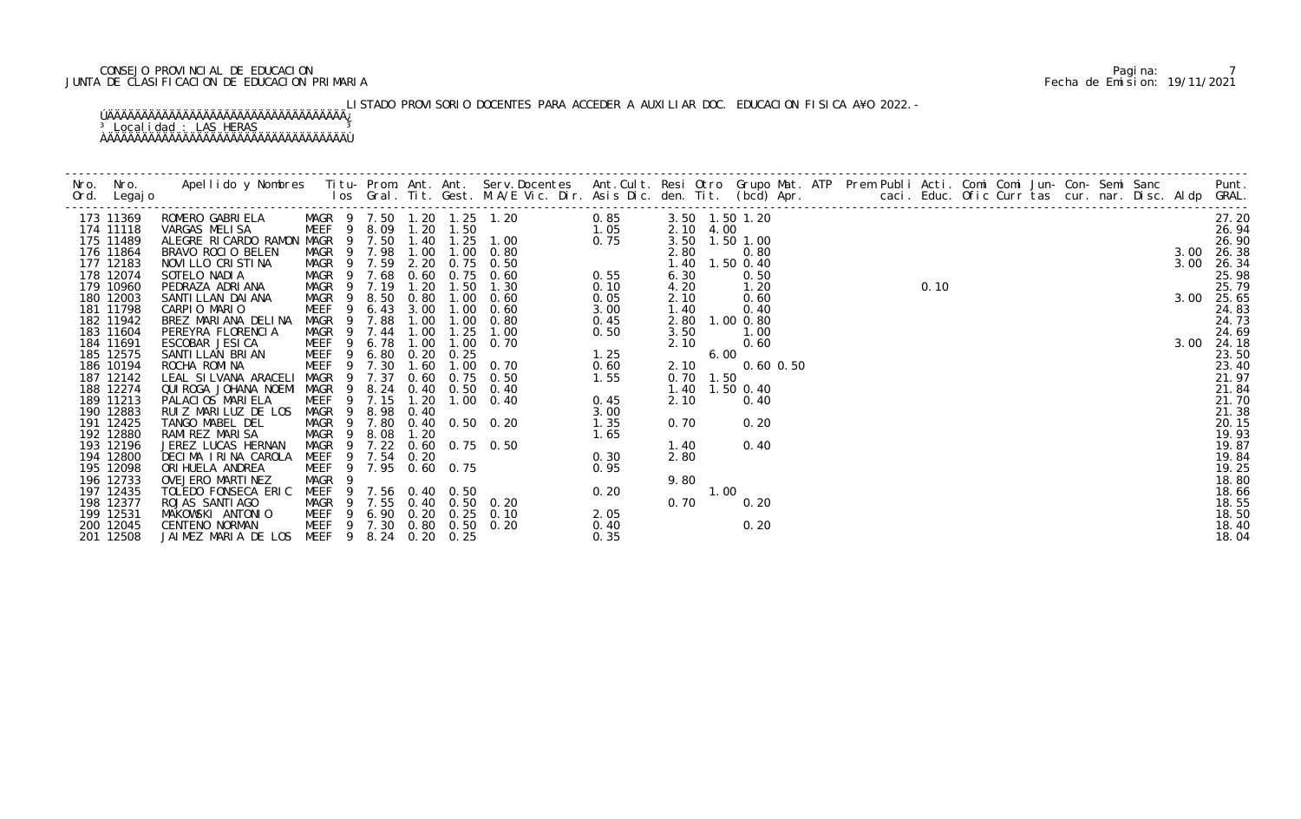## CONSEJO PROVINCIAL DE EDUCACION Pagina: 7 JUNTA DE CLASIFICACION DE EDUCACION PRIMARIA Fecha de Emision: 19/11/2021

# LISTADO PROVISORIO DOCENTES PARA ACCEDER A AUXILIAR DOC. EDUCACION FISICA A¥O 2022.-

| 173 11369              |                                           |                                                |                |        |               |      |                                                                                                          |      | 3.50 1.50 1.20 |      |                        |  |  |  |  |  | $0.10$<br>50 |      | 27.20          |
|------------------------|-------------------------------------------|------------------------------------------------|----------------|--------|---------------|------|----------------------------------------------------------------------------------------------------------|------|----------------|------|------------------------|--|--|--|--|--|--------------|------|----------------|
| 174 11118              |                                           |                                                |                |        |               |      |                                                                                                          |      | 2.10 4.00      |      |                        |  |  |  |  |  |              |      | 26.94          |
| 175 11489              |                                           |                                                |                |        |               |      |                                                                                                          |      |                |      | 3.50 1.50 1.00         |  |  |  |  |  |              |      | 26.90          |
| 176 11864              |                                           |                                                |                |        |               |      |                                                                                                          |      | 2.80           |      | 0.80                   |  |  |  |  |  |              | 3.00 | 26.38          |
| 177 12183<br>178 12074 |                                           |                                                |                |        |               |      |                                                                                                          |      | 6.30           |      | 1.40 1.50 0.40<br>0.50 |  |  |  |  |  |              | 3.00 | 26.34<br>25.98 |
| 179 10960              | PEDRAZA ADRIANA                           | MAGR 9 7.19                                    |                |        | 1.20          | 1.50 | 1.30                                                                                                     | 0.10 | 4.20           |      | 1.20                   |  |  |  |  |  |              |      | 25.79          |
| 180 12003              | SANTI LLAN DAI ANA                        | MAGR 9                                         |                | 8.50   | 0.80          | 1.00 | 0.60                                                                                                     | 0.05 | 2.10           |      | 0.60                   |  |  |  |  |  |              |      | 3.00 25.65     |
| 181 11798              | CARPIO MARIO                              | MEEF                                           | 9              |        | $6.43$ $3.00$ |      | $1.00 \t 0.60$                                                                                           | 3.00 | 1.40           |      | 0.40                   |  |  |  |  |  |              |      | 24.83          |
| 182 11942              | BREZ MARIANA DELINA                       | MAGR                                           | $\overline{9}$ | 7.88   | 1.00          |      | $1.00 \t 0.80$                                                                                           | 0.45 |                |      | 2.80 1.00 0.80         |  |  |  |  |  |              |      | 24.73          |
| 183 11604              | PEREYRA FLORENCIA                         | MAGR 9 7.44                                    |                |        | 1.00          | 1.25 | 1.00                                                                                                     | 0.50 | 3.50           |      | 1.00                   |  |  |  |  |  |              |      | 24.69          |
| 184 11691              | ESCOBAR JESICA                            | MEEF 9 6.78 1.00                               |                |        |               |      | $0.50$<br>$1.25$<br>$1.00 \t 0.70$                                                                       |      | 2.10           |      | 0.60                   |  |  |  |  |  |              | 3.00 | 24.18          |
| 185 12575              | SANTI LLAN BRI AN                         | MEEF 9 6.80                                    |                |        | 0.20          | 0.25 |                                                                                                          |      |                | 6.00 |                        |  |  |  |  |  |              |      | 23.50          |
| 186 10194              | ROCHA ROMINA                              | MEEF                                           |                | 9 7.30 | 1.60          |      | $1.00 \quad 0.70$                                                                                        | 0.60 | 2.10           |      | $0.60$ $0.50$          |  |  |  |  |  |              |      | 23.40          |
| 187 12142              | LEAL SILVANA ARACELI                      | MAGR 9 7.37                                    |                |        |               |      | 0.60 0.75 0.50                                                                                           | 1.55 | 0.70 1.50      |      |                        |  |  |  |  |  |              |      | 21.97          |
| 188 12274              | QUI ROGA JOHANA NOEMI MAGR                |                                                | - 9            |        |               |      | 8.24 0.40 0.50 0.40                                                                                      |      |                |      | 1.40 1.50 0.40         |  |  |  |  |  |              |      | 21.84          |
| 189 11213              | PALACIOS MARIELA                          | MEEF                                           |                | 9 7.15 | 1.20          |      | $1.00 \t 0.40$                                                                                           | 0.45 | 2.10           |      | 0.40                   |  |  |  |  |  |              |      | 21.70          |
| 190 12883              | RUIZ MARILUZ DE LOS                       | MAGR 9 8.98 0.40<br>MAGR 9 7.80 0.40 0.50 0.20 |                |        |               |      |                                                                                                          | 3.00 | 0.70           |      | 0.20                   |  |  |  |  |  |              |      | 21.38          |
| 191 12425<br>192 12880 | TANGO MABEL DEL<br>RAMI REZ MARI SA       |                                                |                |        | 1.20          |      |                                                                                                          |      |                |      |                        |  |  |  |  |  |              |      | 20.15<br>19.93 |
| 193 12196              | JEREZ LUCAS HERNAN                        |                                                |                |        |               |      | 0.60 0.75 0.50                                                                                           |      | 1.40           |      | 0.40                   |  |  |  |  |  |              |      | 19.87          |
| 194 12800              | DECIMA IRINA CAROLA                       | MEEF 9 7.54 0.20                               |                |        |               |      |                                                                                                          |      | 2.80           |      |                        |  |  |  |  |  |              |      | 19.84          |
| 195 12098              | ORI HUELA ANDREA                          | MEEF 9 7.95 0.60 0.75                          |                |        |               |      |                                                                                                          |      |                |      |                        |  |  |  |  |  |              |      | 19.25          |
| 196 12733              | OVEJERO MARTINEZ                          | MAGR                                           | $\overline{9}$ |        |               |      |                                                                                                          |      | 9.80           |      |                        |  |  |  |  |  |              |      | 18.80          |
| 197 12435              | TOLEDO FONSECA ERIC                       | MEEF 9 7.56 0.40 0.50                          |                |        |               |      | 0. 50 0. 20 1. 35<br>0. 75 0. 50 0. 30<br>0. 75 0. 50 0. 30<br>0. 50 0. 20<br>0. 50 0. 20<br>0. 50 0. 20 |      |                | 1.00 |                        |  |  |  |  |  |              |      | 18.66          |
| 198 12377              | ROJAS SANTI AGO                           | MAGR 9 7.55 0.40 0.50 0.20                     |                |        |               |      |                                                                                                          |      | 0.70           |      | 0.20                   |  |  |  |  |  |              |      | 18.55          |
| 199 12531              | MAKOWSKI ANTONIO                          | MEEF 9 6.90 0.20 0.25 0.10                     |                |        |               |      |                                                                                                          | 2.05 |                |      |                        |  |  |  |  |  |              |      | 18.50          |
| 200 12045              | CENTENO NORMAN                            | MEEF 9 7.30 0.80 0.50 0.20                     |                |        |               |      |                                                                                                          | 0.40 |                |      | 0.20                   |  |  |  |  |  |              |      | 18.40          |
| 201 12508              | JAIMEZ MARIA DE LOS MEEF 9 8.24 0.20 0.25 |                                                |                |        |               |      |                                                                                                          | 0.35 |                |      |                        |  |  |  |  |  |              |      | 18.04          |